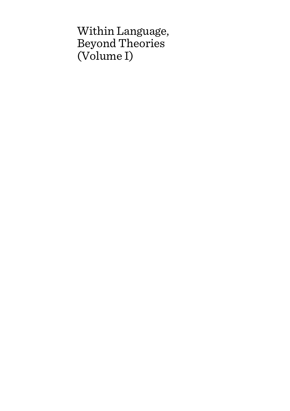# Within Language, Beyond Theories (Volume I)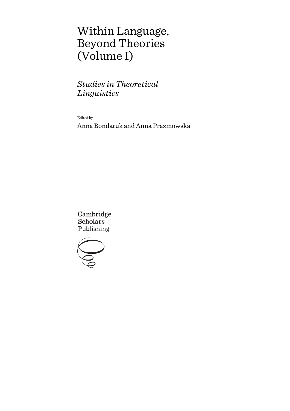# Within Language, Beyond Theories (Volume I)

*Studies in Theoretical Linguistics*

Edited by

Anna Bondaruk and Anna Prażmowska

Cambridge **Scholars** Publishing

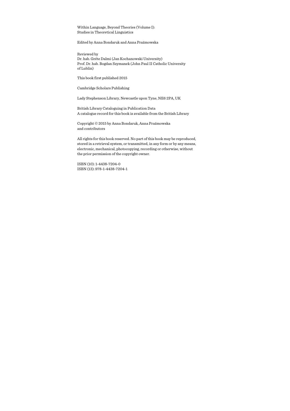Within Language, Beyond Theories (Volume I): Studies in Theoretical Linguistics

Edited by Anna Bondaruk and Anna Prażmowska

Reviewed by Dr. hab. Gréte Dalmi (Jan Kochanowski University) Prof. Dr. hab. Bogdan Szymanek (John Paul II Catholic University of Lublin)

This book first published 2015

Cambridge Scholars Publishing

Lady Stephenson Library, Newcastle upon Tyne, NE6 2PA, UK

British Library Cataloguing in Publication Data A catalogue record for this book is available from the British Library

Copyright © 2015 by Anna Bondaruk, Anna Prażmowska and contributors

All rights for this book reserved. No part of this book may be reproduced, stored in a retrieval system, or transmitted, in any form or by any means, electronic, mechanical, photocopying, recording or otherwise, without the prior permission of the copyright owner.

ISBN (10): 1-4438-7204-0 ISBN (13): 978-1-4438-7204-1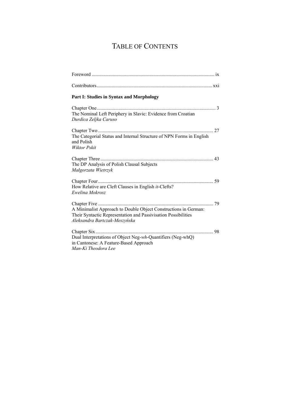## TABLE OF CONTENTS

| Part I: Studies in Syntax and Morphology                                                                                                                           |    |
|--------------------------------------------------------------------------------------------------------------------------------------------------------------------|----|
|                                                                                                                                                                    |    |
| The Nominal Left Periphery in Slavic: Evidence from Croatian<br>Durdica Zeljka Caruso                                                                              |    |
|                                                                                                                                                                    |    |
| The Categorial Status and Internal Structure of NPN Forms in English<br>and Polish<br><b>Wiktor Pskit</b>                                                          |    |
| The DP Analysis of Polish Clausal Subjects<br>Małgorzata Wietrzyk                                                                                                  |    |
| How Relative are Cleft Clauses in English it-Clefts?<br>Ewelina Mokrosz                                                                                            |    |
| A Minimalist Approach to Double Object Constructions in German:<br>Their Syntactic Representation and Passivisation Possibilities<br>Aleksandra Bartczak-Meszyńska | 79 |
| Chapter Six<br>.<br>Dual Interpretations of Object Neg-wh-Quantifiers (Neg-whQ)<br>in Cantonese: A Feature-Based Approach<br>Man-Ki Theodora Lee                   | 98 |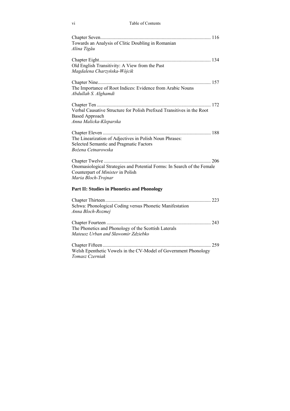#### vi Table of Contents

| Towards an Analysis of Clitic Doubling in Romanian<br>Alina Tigău                                                                   |
|-------------------------------------------------------------------------------------------------------------------------------------|
| Old English Transitivity: A View from the Past<br>Magdalena Charzyńska-Wójcik                                                       |
| The Importance of Root Indices: Evidence from Arabic Nouns<br>Abdullah S. Alghamdi                                                  |
| Verbal Causative Structure for Polish Prefixed Transitives in the Root<br><b>Based Approach</b><br>Anna Malicka-Kleparska           |
| The Linearization of Adjectives in Polish Noun Phrases:<br>Selected Semantic and Pragmatic Factors<br>Bożena Cetnarowska            |
| Onomasiological Strategies and Potential Forms: In Search of the Female<br>Counterpart of Minister in Polish<br>Maria Bloch-Trojnar |
| <b>Part II: Studies in Phonetics and Phonology</b>                                                                                  |
| Schwa: Phonological Coding versus Phonetic Manifestation<br>Anna Bloch-Rozmej                                                       |
| The Phonetics and Phonology of the Scottish Laterals<br>Mateusz Urban and Sławomir Zdziebko                                         |
| Welsh Epenthetic Vowels in the CV-Model of Government Phonology<br>Tomasz Czerniak                                                  |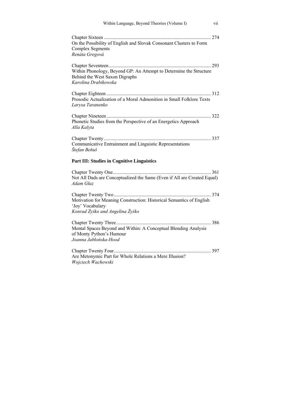| Within Language, Beyond Theories (Volume I)<br>vii                                                                           |
|------------------------------------------------------------------------------------------------------------------------------|
| On the Possibility of English and Slovak Consonant Clusters to Form<br><b>Complex Segments</b><br>Renáta Gregová             |
| Within Phonology, Beyond GP: An Attempt to Determine the Structure<br>Behind the West Saxon Digraphs<br>Karolina Drabikowska |
| Prosodic Actualization of a Moral Admonition in Small Folklore Texts<br>Larysa Taranenko                                     |
| Phonetic Studies from the Perspective of an Energetics Approach<br>Alla Kalyta                                               |
| Communicative Entrainment and Linguistic Representations<br>Štefan Beňuš                                                     |
| <b>Part III: Studies in Cognitive Linguistics</b>                                                                            |
| Not All Dads are Conceptualized the Same (Even if All are Created Equal)<br>Adam Głaz                                        |
| Motivation for Meaning Construction: Historical Semantics of English<br>'Joy' Vocabulary<br>Konrad Żyśko and Angelina Żyśko  |
| Mental Spaces Beyond and Within: A Conceptual Blending Analysis<br>of Monty Python's Humour<br>Joanna Jabłońska-Hood         |
| Are Metonymic Part for Whole Relations a Mere Illusion?<br>Wojciech Wachowski                                                |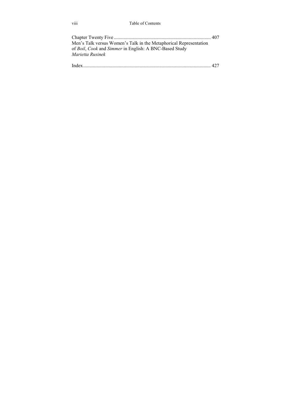#### viii Table of Contents

| Men's Talk versus Women's Talk in the Metaphorical Representation |  |
|-------------------------------------------------------------------|--|
| of Boil, Cook and Simmer in English: A BNC-Based Study            |  |
| Marietta Rusinek                                                  |  |
|                                                                   |  |
| <b>T</b> 1                                                        |  |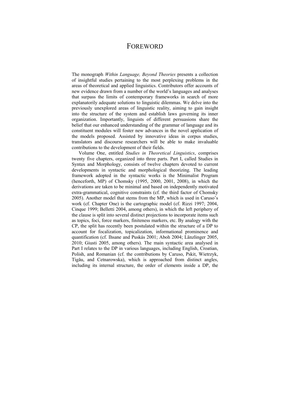### FOREWORD

The monograph *Within Language, Beyond Theories* presents a collection of insightful studies pertaining to the most perplexing problems in the areas of theoretical and applied linguistics. Contributors offer accounts of new evidence drawn from a number of the world's languages and analyses that surpass the limits of contemporary frameworks in search of more explanatorily adequate solutions to linguistic dilemmas. We delve into the previously unexplored areas of linguistic reality, aiming to gain insight into the structure of the system and establish laws governing its inner organization. Importantly, linguists of different persuasions share the belief that our enhanced understanding of the grammar of language and its constituent modules will foster new advances in the novel application of the models proposed. Assisted by innovative ideas in corpus studies, translators and discourse researchers will be able to make invaluable contributions to the development of their fields.

Volume One, entitled *Studies in Theoretical Linguistics*, comprises twenty five chapters, organized into three parts. Part I, called Studies in Syntax and Morphology, consists of twelve chapters devoted to current developments in syntactic and morphological theorizing. The leading framework adopted in the syntactic works is the Minimalist Program (henceforth, MP) of Chomsky (1995, 2000, 2001, 2008), in which the derivations are taken to be minimal and based on independently motivated extra-grammatical, cognitive constraints (cf. the third factor of Chomsky 2005). Another model that stems from the MP, which is used in Caruso's work (cf. Chapter One) is the cartographic model (cf. Rizzi 1997; 2004, Cinque 1999; Belletti 2004, among others), in which the left periphery of the clause is split into several distinct projections to incorporate items such as topics, foci, force markers, finiteness markers, etc. By analogy with the CP, the split has recently been postulated within the structure of a DP to account for focalization, topicalization, informational prominence and quantification (cf. Ihsane and Puskás 2001; Aboh 2004; Länzlinger 2005, 2010; Giusti 2005, among others). The main syntactic area analysed in Part I relates to the DP in various languages, including English, Croatian, Polish, and Romanian (cf. the contributions by Caruso, Pskit, Wietrzyk, Tigău, and Cetnarowska), which is approached from distinct angles, including its internal structure, the order of elements inside a DP, the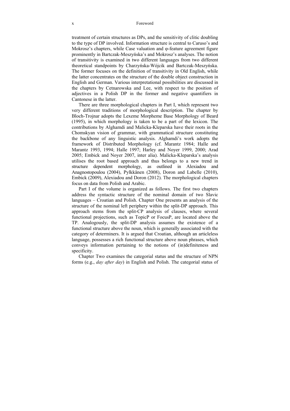treatment of certain structures as DPs, and the sensitivity of clitic doubling to the type of DP involved. Information structure is central to Caruso's and Mokrosz's chapters, while Case valuation and φ-feature agreement figure prominently in Bartczak-Meszyńska's and Mokrosz's analyses. The notion of transitivity is examined in two different languages from two different theoretical standpoints by Charzyńska-Wójcik and Bartczak-Meszyńska. The former focuses on the definition of transitivity in Old English, while the latter concentrates on the structure of the double object construction in English and German. Various interpretational possibilities are discussed in the chapters by Cetnarowska and Lee, with respect to the position of adjectives in a Polish DP in the former and negative quantifiers in Cantonese in the latter.

There are three morphological chapters in Part I, which represent two very different traditions of morphological description. The chapter by Bloch-Trojnar adopts the Lexeme Morpheme Base Morphology of Beard (1995), in which morphology is taken to be a part of the lexicon. The contributions by Alghamdi and Malicka-Kleparska have their roots in the Chomskyan vision of grammar, with grammatical structure constituting the backbone of any linguistic analysis. Alghamdi's work adopts the framework of Distributed Morphology (cf. Marantz 1984; Halle and Marantz 1993, 1994; Halle 1997; Harley and Noyer 1999, 2000; Arad 2005; Embick and Noyer 2007, inter alia). Malicka-Kleparska's analysis utilises the root based approach and thus belongs to a new trend in structure dependent morphology, as outlined in Alexiadou and Anagnostopoulou (2004), Pylkkänen (2008), Doron and Labelle (2010), Embick (2009), Alexiadou and Doron (2012). The morphological chapters focus on data from Polish and Arabic.

Part I of the volume is organized as follows. The first two chapters address the syntactic structure of the nominal domain of two Slavic languages – Croatian and Polish. Chapter One presents an analysis of the structure of the nominal left periphery within the split-DP approach. This approach stems from the split-CP analysis of clauses, where several functional projections, such as TopicP or FocusP, are located above the TP. Analogously, the split-DP analysis assumes the existence of a functional structure above the noun, which is generally associated with the category of determiners. It is argued that Croatian, although an articleless language, possesses a rich functional structure above noun phrases, which conveys information pertaining to the notions of (in)definiteness and specificity.

Chapter Two examines the categorial status and the structure of NPN forms (e.g., *day after day*) in English and Polish. The categorial status of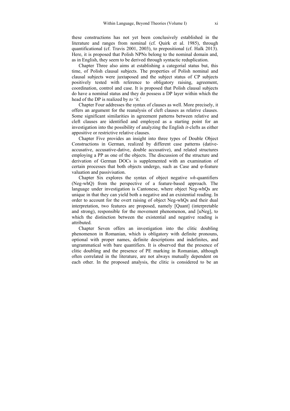these constructions has not yet been conclusively established in the literature and ranges from nominal (cf. Quirk et al. 1985), through quantificational (cf. Travis 2001, 2003), to prepositional (cf. Haïk 2013). Here, it is proposed that Polish NPNs belong to the nominal domain and, as in English, they seem to be derived through syntactic reduplication.

Chapter Three also aims at establishing a categorial status but, this time, of Polish clausal subjects. The properties of Polish nominal and clausal subjects were juxtaposed and the subject status of CP subjects positively tested with reference to obligatory raising, agreement, coordination, control and case. It is proposed that Polish clausal subjects do have a nominal status and they do possess a DP layer within which the head of the DP is realized by *to* 'it.'

Chapter Four addresses the syntax of clauses as well. More precisely, it offers an argument for the reanalysis of cleft clauses as relative clauses. Some significant similarities in agreement patterns between relative and cleft clauses are identified and employed as a starting point for an investigation into the possibility of analyzing the English *it-*clefts as either appositive or restrictive relative clauses.

Chapter Five provides an insight into three types of Double Object Constructions in German, realized by different case patterns (dativeaccusative, accusative-dative, double accusative), and related structures employing a PP as one of the objects. The discussion of the structure and derivation of German DOCs is supplemented with an examination of certain processes that both objects undergo, such as Case and φ-feature valuation and passivisation.

Chapter Six explores the syntax of object negative *wh*-quantifiers (Neg-whQ) from the perspective of a feature-based approach. The language under investigation is Cantonese, where object Neg-whQs are unique in that they can yield both a negative and an existential reading. In order to account for the overt raising of object Neg-whQs and their dual interpretation, two features are proposed, namely [Quant] (interpretable and strong), responsible for the movement phenomenon, and [uNeg], to which the distinction between the existential and negative reading is attributed.

Chapter Seven offers an investigation into the clitic doubling phenomenon in Romanian, which is obligatory with definite pronouns, optional with proper names, definite descriptions and indefinites, and ungrammatical with bare quantifiers. It is observed that the presence of clitic doubling and the presence of PE marking in Romanian, although often correlated in the literature, are not always mutually dependent on each other. In the proposed analysis, the clitic is considered to be an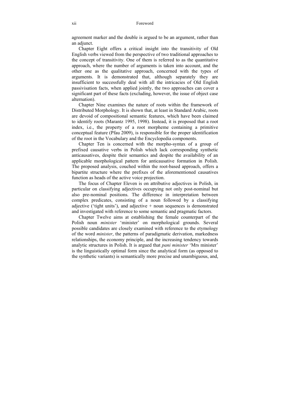#### xii Foreword

agreement marker and the double is argued to be an argument, rather than an adjunct.

Chapter Eight offers a critical insight into the transitivity of Old English verbs viewed from the perspective of two traditional approaches to the concept of transitivity. One of them is referred to as the quantitative approach, where the number of arguments is taken into account, and the other one as the qualitative approach, concerned with the types of arguments. It is demonstrated that, although separately they are insufficient to successfully deal with all the intricacies of Old English passivisation facts, when applied jointly, the two approaches can cover a significant part of these facts (excluding, however, the issue of object case alternation).

Chapter Nine examines the nature of roots within the framework of Distributed Morphology. It is shown that, at least in Standard Arabic, roots are devoid of compositional semantic features, which have been claimed to identify roots (Marantz 1995, 1998). Instead, it is proposed that a root index, i.e., the property of a root morpheme containing a primitive conceptual feature (Pfau 2009), is responsible for the proper identification of the root in the Vocabulary and the Encyclopedia components.

Chapter Ten is concerned with the morpho-syntax of a group of prefixed causative verbs in Polish which lack corresponding synthetic anticausatives, despite their semantics and despite the availability of an applicable morphological pattern for anticausative formation in Polish. The proposed analysis, couched within the root-based approach, offers a bipartite structure where the prefixes of the aforementioned causatives function as heads of the active voice projection.

The focus of Chapter Eleven is on attributive adjectives in Polish, in particular on classifying adjectives occupying not only post-nominal but also pre-nominal positions. The difference in interpretation between complex predicates, consisting of a noun followed by a classifying adjective ('tight units'), and adjective  $+$  noun sequences is demonstrated and investigated with reference to some semantic and pragmatic factors.

Chapter Twelve aims at establishing the female counterpart of the Polish noun *minister* 'minister' on morphological grounds. Several possible candidates are closely examined with reference to the etymology of the word *minister*, the patterns of paradigmatic derivation, markedness relationships, the economy principle, and the increasing tendency towards analytic structures in Polish. It is argued that *pani minister* 'Mrs minister' is the linguistically optimal form since the analytical form (as opposed to the synthetic variants) is semantically more precise and unambiguous, and,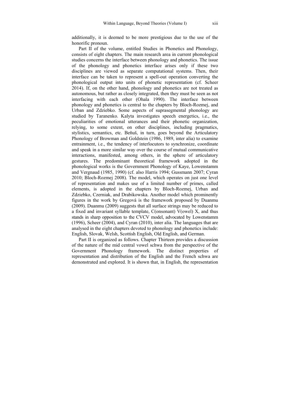additionally, it is deemed to be more prestigious due to the use of the honorific pronoun.

Part II of the volume, entitled Studies in Phonetics and Phonology, consists of eight chapters. The main research area in current phonological studies concerns the interface between phonology and phonetics. The issue of the phonology and phonetics interface arises only if these two disciplines are viewed as separate computational systems. Then, their interface can be taken to represent a spell-out operation converting the phonological output into units of phonetic representation (cf. Scheer 2014). If, on the other hand, phonology and phonetics are not treated as autonomous, but rather as closely integrated, then they must be seen as not interfacing with each other (Ohala 1990). The interface between phonology and phonetics is central to the chapters by Bloch-Rozmej, and Urban and Zdziebko. Some aspects of suprasegmental phonology are studied by Taranenko. Kalyta investigates speech energetics, i.e., the peculiarities of emotional utterances and their phonetic organization, relying, to some extent, on other disciplines, including pragmatics, stylistics, semantics, etc. Beňuš, in turn, goes beyond the Articulatory Phonology of Browman and Goldstein (1986, 1989, inter alia) to examine entrainment, i.e., the tendency of interlocutors to synchronize, coordinate and speak in a more similar way over the course of mutual communicative interactions, manifested, among others, in the sphere of articulatory gestures. The predominant theoretical framework adopted in the phonological works is the Government Phonology of Kaye, Lowenstamm and Vergnaud (1985, 1990) (cf. also Harris 1994; Gussmann 2007; Cyran 2010; Bloch-Rozmej 2008). The model, which operates on just one level of representation and makes use of a limited number of primes, called elements, is adopted in the chapters by Bloch-Rozmej, Urban and Zdziebko, Czerniak, and Drabikowska. Another model which prominently figures in the work by Gregová is the framework proposed by Duanmu (2009). Duanmu (2009) suggests that all surface strings may be reduced to a fixed and invariant syllable template, C(onsonant) V(owel) X, and thus stands in sharp opposition to the CVCV model, advocated by Lowenstamm (1996), Scheer (2004), and Cyran (2010), inter alia. The languages that are analysed in the eight chapters devoted to phonology and phonetics include: English, Slovak, Welsh, Scottish English, Old English, and German.

Part II is organized as follows. Chapter Thirteen provides a discussion of the nature of the mid central vowel schwa from the perspective of the Government Phonology framework. The distinct properties of representation and distribution of the English and the French schwa are demonstrated and explored. It is shown that, in English, the representation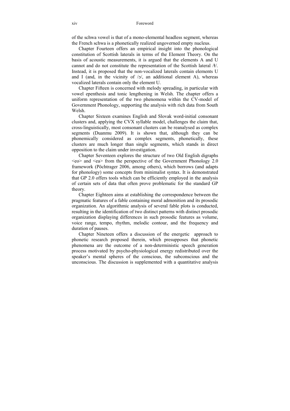of the schwa vowel is that of a mono-elemental headless segment, whereas the French schwa is a phonetically realized ungoverned empty nucleus.

Chapter Fourteen offers an empirical insight into the phonological constitution of Scottish laterals in terms of the Element Theory. On the basis of acoustic measurements, it is argued that the elements A and U cannot and do not constitute the representation of the Scottish lateral  $/t$ . Instead, it is proposed that the non-vocalized laterals contain elements U and I (and, in the vicinity of  $/5/$ , an additional element A), whereas vocalized laterals contain only the element U.

Chapter Fifteen is concerned with melody spreading, in particular with vowel epenthesis and tonic lengthening in Welsh. The chapter offers a uniform representation of the two phenomena within the CV-model of Government Phonology, supporting the analysis with rich data from South Welsh.

Chapter Sixteen examines English and Slovak word-initial consonant clusters and, applying the CVX syllable model, challenges the claim that, cross-linguistically, most consonant clusters can be reanalysed as complex segments (Duanmu 2009). It is shown that, although they can be phonemically considered as complex segments, phonetically, these clusters are much longer than single segments, which stands in direct opposition to the claim under investigation.

Chapter Seventeen explores the structure of two Old English digraphs  $\langle$ eo $>$  and  $\langle$ ea $>$  from the perspective of the Government Phonology 2.0 framework (Pöchtrager 2006, among others), which borrows (and adapts for phonology) some concepts from minimalist syntax. It is demonstrated that GP 2.0 offers tools which can be efficiently employed in the analysis of certain sets of data that often prove problematic for the standard GP theory.

Chapter Eighteen aims at establishing the correspondence between the pragmatic features of a fable containing moral admonition and its prosodic organization. An algorithmic analysis of several fable plots is conducted, resulting in the identification of two distinct patterns with distinct prosodic organization displaying differences in such prosodic features as volume, voice range, tempo, rhythm, melodic contour, and the frequency and duration of pauses.

Chapter Nineteen offers a discussion of the energetic approach to phonetic research proposed therein, which presupposes that phonetic phenomena are the outcome of a non-deterministic speech generation process motivated by psycho-physiological energy redistributed over the speaker's mental spheres of the conscious, the subconscious and the unconscious. The discussion is supplemented with a quantitative analysis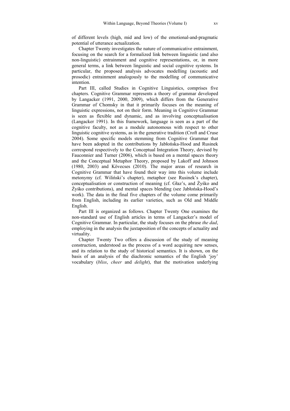of different levels (high, mid and low) of the emotional-and-pragmatic potential of utterance actualization.

Chapter Twenty investigates the nature of communicative entrainment, focusing on the search for a formalized link between linguistic (and also non-linguistic) entrainment and cognitive representations, or, in more general terms, a link between linguistic and social cognitive systems. In particular, the proposed analysis advocates modelling (acoustic and prosodic) entrainment analogously to the modelling of communicative intention.

Part III, called Studies in Cognitive Linguistics, comprises five chapters. Cognitive Grammar represents a theory of grammar developed by Langacker (1991, 2000, 2009), which differs from the Generative Grammar of Chomsky in that it primarily focuses on the meaning of linguistic expressions, not on their form. Meaning in Cognitive Grammar is seen as flexible and dynamic, and as involving conceptualisation (Langacker 1991). In this framework, language is seen as a part of the cognitive faculty, not as a module autonomous with respect to other linguistic cognitive systems, as in the generative tradition (Croft and Cruse 2004). Some specific models stemming from Cognitive Grammar that have been adopted in the contributions by Jabłońska-Hood and Rusinek correspond respectively to the Conceptual Integration Theory, devised by Fauconnier and Turner (2006), which is based on a mental spaces theory and the Conceptual Metaphor Theory, proposed by Lakoff and Johnson (1980, 2003) and Kövecses (2010). The major areas of research in Cognitive Grammar that have found their way into this volume include metonymy (cf. Wiliński's chapter), metaphor (see Rusinek's chapter), conceptualisation or construction of meaning (cf. Głaz's, and Żyśko and Żyśko contributions), and mental spaces blending (see Jabłońska-Hood's work). The data in the final five chapters of the volume come primarily from English, including its earlier varieties, such as Old and Middle English.

Part III is organized as follows. Chapter Twenty One examines the non-standard use of English articles in terms of Langacker's model of Cognitive Grammar. In particular, the study focuses on the phrase *the dad*, employing in the analysis the juxtaposition of the concepts of actuality and virtuality.

Chapter Twenty Two offers a discussion of the study of meaning construction, understood as the process of a word acquiring new senses, and its relation to the study of historical semantics. It is shown, on the basis of an analysis of the diachronic semantics of the English 'joy' vocabulary (*bliss*, *cheer* and *delight*), that the motivation underlying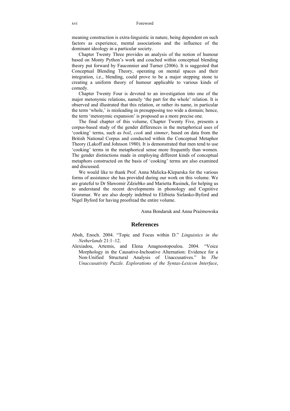meaning construction is extra-linguistic in nature, being dependent on such factors as experience, mental associations and the influence of the dominant ideology in a particular society.

Chapter Twenty Three provides an analysis of the notion of humour based on Monty Python's work and couched within conceptual blending theory put forward by Fauconnier and Turner (2006). It is suggested that Conceptual Blending Theory, operating on mental spaces and their integration, i.e., blending, could prove to be a major stepping stone to creating a uniform theory of humour applicable to various kinds of comedy.

Chapter Twenty Four is devoted to an investigation into one of the major metonymic relations, namely 'the part for the whole' relation. It is observed and illustrated that this relation, or rather its name, in particular the term 'whole,' is misleading in presupposing too wide a domain; hence, the term 'metonymic expansion' is proposed as a more precise one.

The final chapter of this volume, Chapter Twenty Five, presents a corpus-based study of the gender differences in the metaphorical uses of 'cooking' terms, such as *boil*, *cook* and *simmer*, based on data from the British National Corpus and conducted within the Conceptual Metaphor Theory (Lakoff and Johnson 1980). It is demonstrated that men tend to use 'cooking' terms in the metaphorical sense more frequently than women. The gender distinctions made in employing different kinds of conceptual metaphors constructed on the basis of 'cooking' terms are also examined and discussed.

We would like to thank Prof. Anna Malicka-Kleparska for the various forms of assistance she has provided during our work on this volume. We are grateful to Dr Sławomir Zdziebko and Marietta Rusinek, for helping us to understand the recent developments in phonology and Cognitive Grammar. We are also deeply indebted to Elżbieta Sielanko-Byford and Nigel Byford for having proofread the entire volume.

Anna Bondaruk and Anna Prażmowska

#### **References**

- Aboh, Enoch. 2004. "Topic and Focus within D." *Linguistics in the Netherlands* 21:1–12.
- Alexiadou, Artemis, and Elena Anagnostopoulou. 2004. "Voice Morphology in the Causative-Inchoative Alternation: Evidence for a Non-Unified Structural Analysis of Unaccusatives." In *The Unaccusativity Puzzle. Explorations of the Syntax-Lexicon Interface*,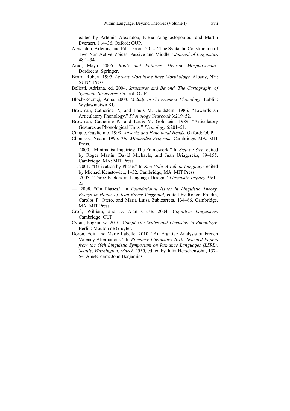edited by Artemis Alexiadou, Elena Anagnostopoulou, and Martin Everaert, 114–36. Oxford: OUP.

- Alexiadou, Artemis, and Edit Doron. 2012. "The Syntactic Construction of Two Non-Active Voices: Passive and Middle." *Journal of Linguistics* 48:1–34.
- Arad, Maya. 2005. *Roots and Patterns: Hebrew Morpho-syntax*. Dordrecht: Springer.
- Beard, Robert. 1995. *Lexeme Morpheme Base Morphology.* Albany, NY: SUNY Press.
- Belletti, Adriana, ed. 2004. *Structures and Beyond. The Cartography of Syntactic Structures*. Oxford: OUP.
- Bloch-Rozmej, Anna. 2008. *Melody in Government Phonology*. Lublin: Wydawnictwo KUL.
- Browman, Catherine P., and Louis M. Goldstein. 1986. "Towards an Articulatory Phonology." *Phonology Yearbook* 3:219–52.
- Browman, Catherine P., and Louis M. Goldstein. 1989. "Articulatory Gestures as Phonological Units." *Phonology* 6:201–51.
- Cinque, Guglielmo. 1999. *Adverbs and Functional Heads.* Oxford: OUP.
- Chomsky, Noam. 1995. *The Minimalist Program.* Cambridge, MA: MIT Press.
- —. 2000. "Minimalist Inquiries: The Framework." In *Step by Step*, edited by Roger Martin, David Michaels, and Juan Uriagereka, 89–155. Cambridge, MA: MIT Press.
- —. 2001. "Derivation by Phase." In *Ken Hale. A Life in Language*, edited by Michael Kenstowicz, 1–52. Cambridge, MA: MIT Press.
- —. 2005. "Three Factors in Language Design." *Linguistic Inquiry* 36:1– 22.
- —. 2008. "On Phases." In *Foundational Issues in Linguistic Theory. Essays in Honor of Jean-Roger Vergnaud*, edited by Robert Freidin, Carolos P. Otero, and Maria Luisa Zubizarreta, 134–66. Cambridge, MA: MIT Press.
- Croft, William, and D. Alan Cruse. 2004. *Cognitive Linguistics*. Cambridge: CUP.
- Cyran, Eugeniusz. 2010. *Complexity Scales and Licensing in Phonology*. Berlin: Mouton de Gruyter.
- Doron, Edit, and Marie Labelle. 2010. "An Ergative Analysis of French Valency Alternations." In *Romance Linguistics 2010: Selected Papers from the 40th Linguistic Symposium on Romance Languages (LSRL), Seattle, Washington, March 2010*, edited by Julia Herschensohn, 137– 54. Amsterdam: John Benjamins.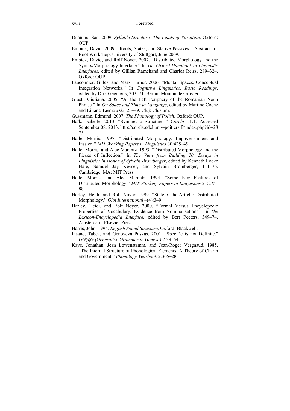- Duanmu, San. 2009. *Syllable Structure: The Limits of Variation*. Oxford: OUP.
- Embick, David. 2009. "Roots, States, and Stative Passives." Abstract for Root Workshop, University of Stuttgart, June 2009.
- Embick, David, and Rolf Noyer. 2007. "Distributed Morphology and the Syntax/Morphology Interface." In *The Oxford Handbook of Linguistic Interfaces*, edited by Gillian Ramchand and Charles Reiss, 289–324. Oxford: OUP.
- Fauconnier, Gilles, and Mark Turner. 2006. "Mental Spaces. Conceptual Integration Networks." In *Cognitive Linguistics. Basic Readings*, edited by Dirk Geeraerts, 303–71. Berlin: Mouton de Gruyter.
- Giusti, Giuliana. 2005. "At the Left Periphery of the Romanian Noun Phrase." In *On Space and Time in Language*, edited by Martine Coene and Liliane Tasmowski, 23–49. Cluj: Clusium.
- Gussmann, Edmund. 2007. *The Phonology of Polish*. Oxford: OUP.
- Haïk, Isabelle. 2013. "Symmetric Structures." *Corela* 11:1. Accessed September 08, 2013. http://corela.edel.univ-poitiers.fr/index.php?id=28 75.
- Halle, Morris. 1997. "Distributed Morphology: Impoverishment and Fission." *MIT Working Papers in Linguistics* 30:425–49.
- Halle, Morris, and Alec Marantz. 1993. "Distributed Morphology and the Pieces of Inflection." In *The View from Building 20: Essays in Linguistics in Honor of Sylvain Bromberger*, edited by Kenneth Locke Hale, Samuel Jay Keyser, and Sylvain Bromberger, 111–76. Cambridge, MA: MIT Press.
- Halle, Morris, and Alec Marantz. 1994. "Some Key Features of Distributed Morphology." *MIT Working Papers in Linguistics* 21:275– 88.
- Harley, Heidi, and Rolf Noyer. 1999. "State-of-the-Article: Distributed Morphology." *Glot International* 4(4):3–9.
- Harley, Heidi, and Rolf Noyer. 2000. "Formal Versus Encyclopedic Properties of Vocabulary: Evidence from Nominalisations." In *The Lexicon-Encyclopedia Interface*, edited by Bert Peeters, 349–74. Amsterdam: Elsevier Press.
- Harris, John. 1994. *English Sound Structure*. Oxford: Blackwell.
- Ihsane, Tabea, and Genoveva Puskás. 2001. "Specific is not Definite." *GG@G (Generative Grammar in Geneva)* 2:39–54.
- Kaye, Jonathan, Jean Lowenstamm, and Jean-Roger Vergnaud. 1985. "The Internal Structure of Phonological Elements: A Theory of Charm and Government." *Phonology Yearbook* 2:305–28.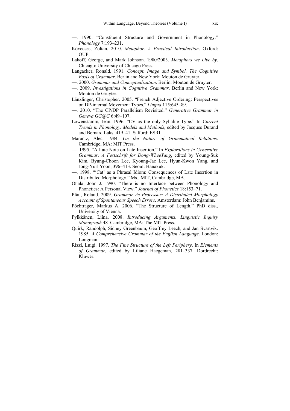- —. 1990. "Constituent Structure and Government in Phonology." *Phonology* 7:193–231.
- Kövecses, Zoltan. 2010. *Metaphor. A Practical Introduction*. Oxford:  $OUP$ .
- Lakoff, George, and Mark Johnson. 1980/2003. *Metaphors we Live by*. Chicago: University of Chicago Press.
- Langacker, Ronald. 1991. *Concept, Image and Symbol. The Cognitive Basis of Grammar*. Berlin and New York: Mouton de Gruyter.
- —. 2000. *Grammar and Conceptualization*. Berlin: Mouton de Gruyter.
- —. 2009. *Investigations in Cognitive Grammar*. Berlin and New York: Mouton de Gruyter.
- Länzlinger, Christopher. 2005. "French Adjective Ordering: Perspectives on DP-internal Movement Types." *Lingua* 115:645–89.
- —. 2010. "The CP/DP Parallelism Revisited." *Generative Grammar in Geneva GG@G* 6:49–107.
- Lowenstamm, Jean. 1996. "CV as the only Syllable Type." In *Current Trends in Phonology. Models and Methods*, edited by Jacques Durand and Bernard Laks, 419–41. Salford: ESRI.
- Marantz, Alec. 1984. *On the Nature of Grammatical Relations*. Cambridge, MA: MIT Press.
- —. 1995. "A Late Note on Late Insertion." In *Explorations in Generative Grammar: A Festschrift for Dong-WheeYang*, edited by Young-Suk Kim, Byung-Choon Lee, Kyoung-Jae Lee, Hyun-Kwon Yang, and Jong-Yurl Yoon, 396–413. Seoul: Hanakuk.
- —. 1998. "'Cat' as a Phrasal Idiom: Consequences of Late Insertion in Distributed Morphology." Ms., MIT, Cambridge, MA.
- Ohala, John J. 1990. "There is no Interface between Phonology and Phonetics: A Personal View." *Journal of Phonetics* 18:153–71.
- Pfau, Roland. 2009. *Grammar As Processor: A Distributed Morphology Account of Spontaneous Speech Errors*. Amsterdam: John Benjamins.
- Pöchtrager, Markus A. 2006. "The Structure of Length." PhD diss., University of Vienna.
- Pylkkänen, Liina. 2008. *Introducing Arguments. Linguistic Inquiry Monograph* 48*.* Cambridge, MA: The MIT Press.
- Quirk, Randolph, Sidney Greenbaum, Geoffrey Leech, and Jan Svartvik. 1985. *A Comprehensive Grammar of the English Language*. London: Longman.
- Rizzi, Luigi. 1997. *The Fine Structure of the Left Periphery*. In *Elements of Grammar*, edited by Liliane Haegeman, 281–337. Dordrecht: Kluwer.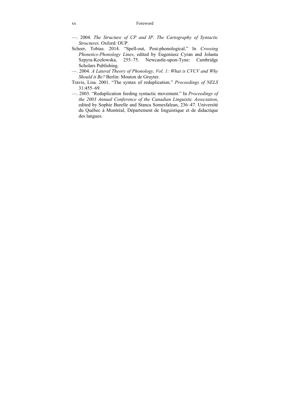#### xx Foreword

- —. 2004. *The Structure of CP and IP. The Cartography of Syntactic Structures.* Oxford: OUP.
- Scheer, Tobias. 2014. "Spell-out, Post-phonological." In *Crossing Phonetics-Phonology Lines*, edited by Eugeniusz Cyran and Jolanta Szpyra-Kozłowska, 255–75. Newcastle-upon-Tyne: Cambridge Scholars Publishing.
- —. 2004. *A Lateral Theory of Phonology, Vol. 1: What is CVCV and Why Should it Be?* Berlin: Mouton de Gruyter.
- Travis, Lisa. 2001. "The syntax of reduplication." *Proceedings of NELS* 31:455–69.
- —. 2003. "Reduplication feeding syntactic movement." In *Proceedings of the 2003 Annual Conference of the Canadian Linguistic Association*, edited by Sophie Burelle and Stanca Somesfalean, 236–47. Université du Québec à Montréal, Département de linguistique et de didactique des langues.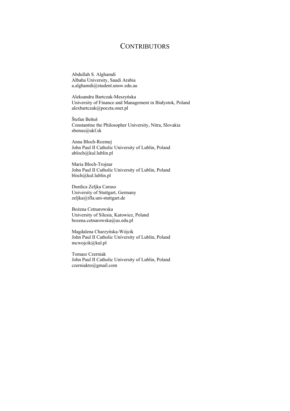## **CONTRIBUTORS**

Abdullah S. Alghamdi Albaha University, Saudi Arabia a.alghamdi@student.unsw.edu.au

Aleksandra Bartczak-Meszyńska University of Finance and Management in Białystok, Poland alexbartczak@poczta.onet.pl

Štefan Beňuš Constantine the Philosopher University, Nitra, Slovakia sbenus@ukf.sk

Anna Bloch-Rozmej John Paul II Catholic University of Lublin, Poland abloch@kul.lublin.pl

Maria Bloch-Trojnar John Paul II Catholic University of Lublin, Poland bloch@kul.lublin.pl

Durdica Zeljka Caruso University of Stuttgart, Germany zeljka@ifla.uni-stuttgart.de

Bożena Cetnarowska University of Silesia, Katowice, Poland bozena.cetnarowska@us.edu.pl

Magdalena Charzyńska-Wójcik John Paul II Catholic University of Lublin, Poland mcwojcik@kul.pl

Tomasz Czerniak John Paul II Catholic University of Lublin, Poland czerniakto@gmail.com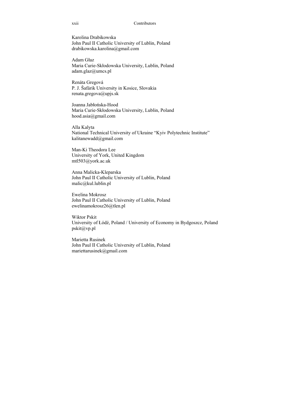#### xxii Contributors

Karolina Drabikowska John Paul II Catholic University of Lublin, Poland drabikowska.karolina@gmail.com

Adam Głaz Maria Curie-Skłodowska University, Lublin, Poland adam.glaz@umcs.pl

Renáta Gregová P. J. Šafárik University in Kosice, Slovakia renata.gregova@upjs.sk

Joanna Jabłońska-Hood Maria Curie-Skłodowska University, Lublin, Poland hood.asia@gmail.com

Alla Kalyta National Technical University of Ukraine "Kyiv Polytechnic Institute" kalitanewadd@gmail.com

Man-Ki Theodora Lee University of York, United Kingdom mtl503@york.ac.uk

Anna Malicka-Kleparska John Paul II Catholic University of Lublin, Poland malic@kul.lublin.pl

Ewelina Mokrosz John Paul II Catholic University of Lublin, Poland ewelinamokrosz26@tlen.pl

Wiktor Pskit University of Łódź, Poland / University of Economy in Bydgoszcz, Poland pskit@vp.pl

Marietta Rusinek John Paul II Catholic University of Lublin, Poland mariettarusinek@gmail.com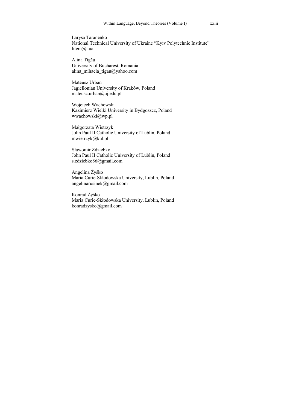Larysa Taranenko National Technical University of Ukraine "Kyiv Polytechnic Institute" litera@i.ua

Alina Tigău University of Bucharest, Romania alina\_mihaela\_tigau@yahoo.com

Mateusz Urban Jagiellonian University of Kraków, Poland mateusz.urban@uj.edu.pl

Wojciech Wachowski Kazimierz Wielki University in Bydgoszcz, Poland wwachowski@wp.pl

Małgorzata Wietrzyk John Paul II Catholic University of Lublin, Poland mwietrzyk@kul.pl

Sławomir Zdziebko John Paul II Catholic University of Lublin, Poland s.zdziebko86@gmail.com

Angelina Żyśko Maria Curie-Skłodowska University, Lublin, Poland angelinarusinek@gmail.com

Konrad Żyśko Maria Curie-Skłodowska University, Lublin, Poland konradzysko@gmail.com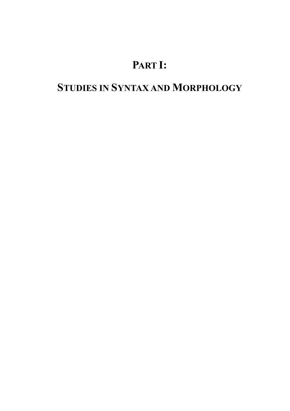## **PART I:**

## **STUDIES IN SYNTAX AND MORPHOLOGY**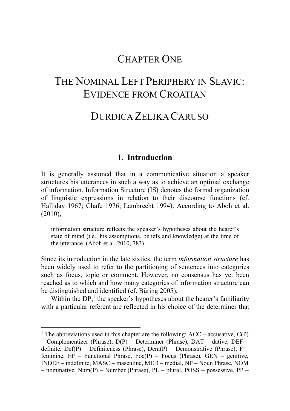## CHAPTER ONE

## THE NOMINAL LEFT PERIPHERY IN SLAVIC. EVIDENCE FROM CROATIAN

## DURDICA ZELJKA CARUSO

### **1. Introduction**

It is generally assumed that in a communicative situation a speaker structures his utterances in such a way as to achieve an optimal exchange of information. Information Structure (IS) denotes the formal organization of linguistic expressions in relation to their discourse functions (cf. Halliday 1967; Chafe 1976; Lambrecht 1994). According to Aboh et al. (2010),

information structure reflects the speaker's hypotheses about the hearer's state of mind (i.e., his assumptions, beliefs and knowledge) at the time of the utterance. (Aboh et al. 2010, 783)

Since its introduction in the late sixties, the term *information structure* has been widely used to refer to the partitioning of sentences into categories such as focus, topic or comment. However, no consensus has yet been reached as to which and how many categories of information structure can be distinguished and identified (cf. Büring 2005).

Within the  $DP<sub>i</sub><sup>1</sup>$  the speaker's hypotheses about the hearer's familiarity with a particular referent are reflected in his choice of the determiner that

-

<sup>&</sup>lt;sup>1</sup> The abbreviations used in this chapter are the following:  $ACC - accusative, C(P)$ – Complementizer (Phrase), D(P) – Determiner (Phrase), DAT – dative, DEF – definite,  $Def(P)$  – Definiteness (Phrase), Dem(P) – Demonstrative (Phrase), F – feminine,  $FP$  – Functional Phrase,  $Foc(P)$  – Focus (Phrase),  $GEN$  – genitive, INDEF – indefinite, MASC – masculine, MED – medial, NP – Noun Phrase, NOM – nominative, Num(P) – Number (Phrase), PL – plural, POSS – possessive, PP –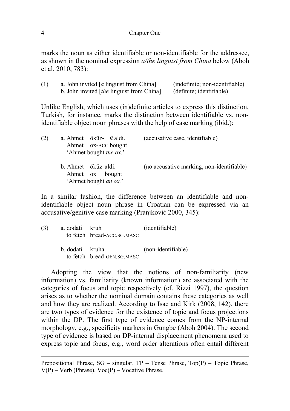marks the noun as either identifiable or non-identifiable for the addressee, as shown in the nominal expression *a/the linguist from China* below (Aboh et al. 2010, 783):

| (1) | a. John invited [a linguist from China]     | (indefinite; non-identifiable) |
|-----|---------------------------------------------|--------------------------------|
|     | b. John invited $[the$ linguist from China] | (definite; identifiable)       |

Unlike English, which uses (in)definite articles to express this distinction, Turkish, for instance, marks the distinction between identifiable vs. nonidentifiable object noun phrases with the help of case marking (ibid.):

| (2) | a. Ahmet öküz- ü aldi.<br>Ahmet ox-ACC bought<br>'Ahmet bought the ox.' | (accusative case, identifiable)           |  |
|-----|-------------------------------------------------------------------------|-------------------------------------------|--|
|     | b. Ahmet öküz aldi.<br>Ahmet ox bought<br>'Ahmet bought <i>an ox.</i> ' | (no accusative marking, non-identifiable) |  |

In a similar fashion, the difference between an identifiable and nonidentifiable object noun phrase in Croatian can be expressed via an accusative/genitive case marking (Pranjković 2000, 345):

| (3) | a dodati kruh   | to fetch bread-ACC.SG.MASC | (identifiable)     |
|-----|-----------------|----------------------------|--------------------|
|     | b. dodati kruha | to fetch bread-GEN.SG.MASC | (non-identifiable) |

Adopting the view that the notions of non-familiarity (new information) vs. familiarity (known information) are associated with the categories of focus and topic respectively (cf. Rizzi 1997), the question arises as to whether the nominal domain contains these categories as well and how they are realized. According to Isac and Kirk (2008, 142), there are two types of evidence for the existence of topic and focus projections within the DP. The first type of evidence comes from the NP-internal morphology, e.g., specificity markers in Gungbe (Aboh 2004). The second type of evidence is based on DP-internal displacement phenomena used to express topic and focus, e.g., word order alterations often entail different

1

Prepositional Phrase,  $SG$  – singular,  $TP$  – Tense Phrase,  $Top(P)$  – Topic Phrase,  $V(P)$  – Verb (Phrase),  $Voc(P)$  – Vocative Phrase.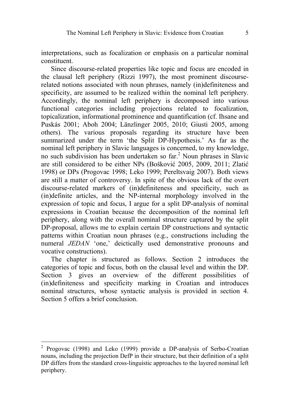interpretations, such as focalization or emphasis on a particular nominal constituent.

Since discourse-related properties like topic and focus are encoded in the clausal left periphery (Rizzi 1997), the most prominent discourserelated notions associated with noun phrases, namely (in)definiteness and specificity, are assumed to be realized within the nominal left periphery. Accordingly, the nominal left periphery is decomposed into various functional categories including projections related to focalization, topicalization, informational prominence and quantification (cf. Ihsane and Puskás 2001; Aboh 2004; Länzlinger 2005, 2010; Giusti 2005, among others). The various proposals regarding its structure have been summarized under the term 'the Split DP-Hypothesis.' As far as the nominal left periphery in Slavic languages is concerned, to my knowledge, no such subdivision has been undertaken so far.<sup>2</sup> Noun phrases in Slavic are still considered to be either NPs (Bošković 2005, 2009, 2011; Zlatić 1998) or DPs (Progovac 1998; Leko 1999; Pereltsvaig 2007). Both views are still a matter of controversy. In spite of the obvious lack of the overt discourse-related markers of (in)definiteness and specificity, such as (in)definite articles, and the NP-internal morphology involved in the expression of topic and focus, I argue for a split DP-analysis of nominal expressions in Croatian because the decomposition of the nominal left periphery, along with the overall nominal structure captured by the split DP-proposal, allows me to explain certain DP constructions and syntactic patterns within Croatian noun phrases (e.g., constructions including the numeral *JEDAN* 'one,' deictically used demonstrative pronouns and vocative constructions).

The chapter is structured as follows. Section 2 introduces the categories of topic and focus, both on the clausal level and within the DP. Section 3 gives an overview of the different possibilities of (in)definiteness and specificity marking in Croatian and introduces nominal structures, whose syntactic analysis is provided in section 4. Section 5 offers a brief conclusion.

 2 Progovac (1998) and Leko (1999) provide a DP-analysis of Serbo-Croatian nouns, including the projection DefP in their structure, but their definition of a split DP differs from the standard cross-linguistic approaches to the layered nominal left periphery.